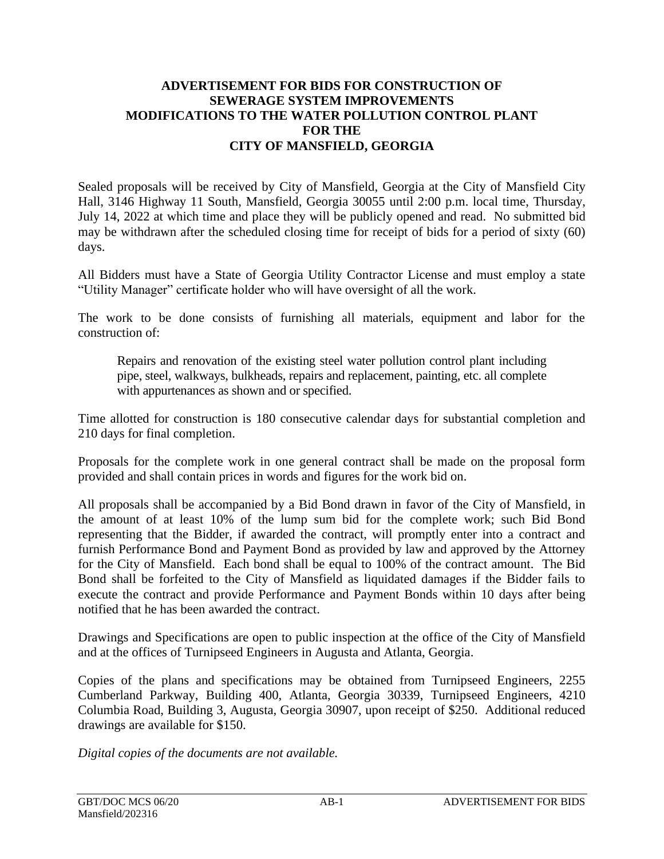## **ADVERTISEMENT FOR BIDS FOR CONSTRUCTION OF SEWERAGE SYSTEM IMPROVEMENTS MODIFICATIONS TO THE WATER POLLUTION CONTROL PLANT FOR THE CITY OF MANSFIELD, GEORGIA**

Sealed proposals will be received by City of Mansfield, Georgia at the City of Mansfield City Hall, 3146 Highway 11 South, Mansfield, Georgia 30055 until 2:00 p.m. local time, Thursday, July 14, 2022 at which time and place they will be publicly opened and read. No submitted bid may be withdrawn after the scheduled closing time for receipt of bids for a period of sixty (60) days.

All Bidders must have a State of Georgia Utility Contractor License and must employ a state "Utility Manager" certificate holder who will have oversight of all the work.

The work to be done consists of furnishing all materials, equipment and labor for the construction of:

Repairs and renovation of the existing steel water pollution control plant including pipe, steel, walkways, bulkheads, repairs and replacement, painting, etc. all complete with appurtenances as shown and or specified.

Time allotted for construction is 180 consecutive calendar days for substantial completion and 210 days for final completion.

Proposals for the complete work in one general contract shall be made on the proposal form provided and shall contain prices in words and figures for the work bid on.

All proposals shall be accompanied by a Bid Bond drawn in favor of the City of Mansfield, in the amount of at least 10% of the lump sum bid for the complete work; such Bid Bond representing that the Bidder, if awarded the contract, will promptly enter into a contract and furnish Performance Bond and Payment Bond as provided by law and approved by the Attorney for the City of Mansfield. Each bond shall be equal to 100% of the contract amount. The Bid Bond shall be forfeited to the City of Mansfield as liquidated damages if the Bidder fails to execute the contract and provide Performance and Payment Bonds within 10 days after being notified that he has been awarded the contract.

Drawings and Specifications are open to public inspection at the office of the City of Mansfield and at the offices of Turnipseed Engineers in Augusta and Atlanta, Georgia.

Copies of the plans and specifications may be obtained from Turnipseed Engineers, 2255 Cumberland Parkway, Building 400, Atlanta, Georgia 30339, Turnipseed Engineers, 4210 Columbia Road, Building 3, Augusta, Georgia 30907, upon receipt of \$250. Additional reduced drawings are available for \$150.

*Digital copies of the documents are not available.*